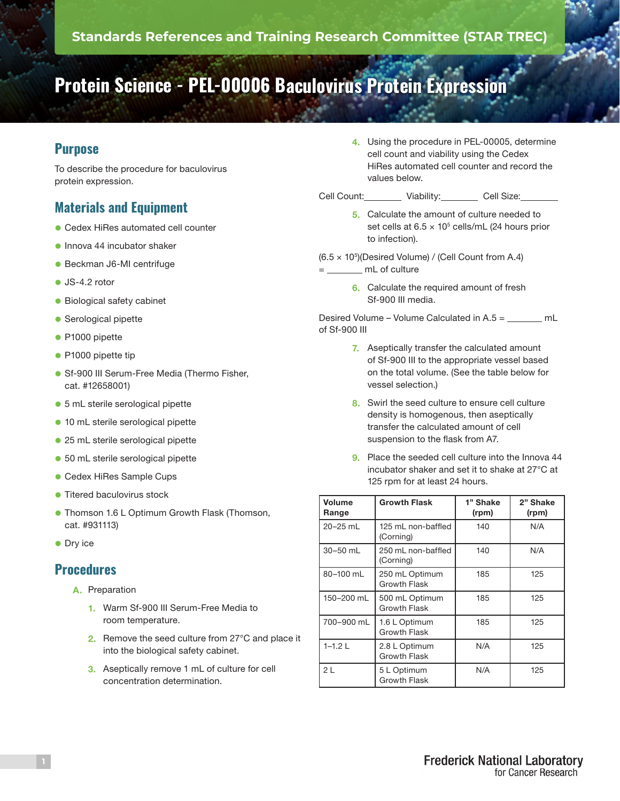# **Protein Science - PEL-00006 Baculovirus Protein Expression**

## **Purpose**

To describe the procedure for baculovirus protein expression.

## **Materials and Equipment**

- **Cedex HiRes automated cell counter**
- $\bullet$  Innova 44 incubator shaker
- **Beckman J6-MI centrifuge**
- $\bullet$  JS-4.2 rotor
- **Biological safety cabinet**
- **Serological pipette**
- P1000 pipette
- **P1000 pipette tip**
- **.** Sf-900 III Serum-Free Media (Thermo Fisher, cat. #12658001)
- 5 mL sterile serological pipette
- **10 mL sterile serological pipette**
- 25 mL sterile serological pipette
- **.** 50 mL sterile serological pipette
- **Cedex HiRes Sample Cups**
- **Titered baculovirus stock**
- **Thomson 1.6 L Optimum Growth Flask (Thomson,** cat. #931113)
- **Ory ice**

#### **Procedures**

- A. Preparation
	- 1. Warm Sf-900 III Serum-Free Media to room temperature.
	- 2. Remove the seed culture from 27°C and place it into the biological safety cabinet.
	- 3. Aseptically remove 1 mL of culture for cell concentration determination.

4. Using the procedure in PEL-00005, determine cell count and viability using the Cedex HiRes automated cell counter and record the values below.

Cell Count: Viability: Cell Size:

- 5. Calculate the amount of culture needed to set cells at  $6.5 \times 10^5$  cells/mL (24 hours prior to infection).
- $(6.5 \times 10^5)$ (Desired Volume) / (Cell Count from A.4)
- = mL of culture
	- 6. Calculate the required amount of fresh Sf-900 III media.

Desired Volume – Volume Calculated in A.5 = mL of Sf-900 III

- 7. Aseptically transfer the calculated amount of Sf-900 III to the appropriate vessel based on the total volume. (See the table below for vessel selection.)
- 8. Swirl the seed culture to ensure cell culture density is homogenous, then aseptically transfer the calculated amount of cell suspension to the flask from A7.
- 9. Place the seeded cell culture into the Innova 44 incubator shaker and set it to shake at 27°C at 125 rpm for at least 24 hours.

| Volume<br>Range | <b>Growth Flask</b>                   | 1" Shake<br>(rpm) | 2" Shake<br>(rpm) |
|-----------------|---------------------------------------|-------------------|-------------------|
| 20-25 mL        | 125 mL non-baffled<br>(Corning)       | 140               | N/A               |
| 30-50 mL        | 250 mL non-baffled<br>(Corning)       | 140               | N/A               |
| 80-100 mL       | 250 mL Optimum<br>Growth Flask        | 185               | 125               |
| 150-200 mL      | 500 mL Optimum<br><b>Growth Flask</b> | 185               | 125               |
| 700-900 mL      | 1.6 L Optimum<br><b>Growth Flask</b>  | 185               | 125               |
| $1 - 1.2$ L     | 2.8 L Optimum<br>Growth Flask         | N/A               | 125               |
| 2L              | 5 L Optimum<br><b>Growth Flask</b>    | N/A               | 125               |